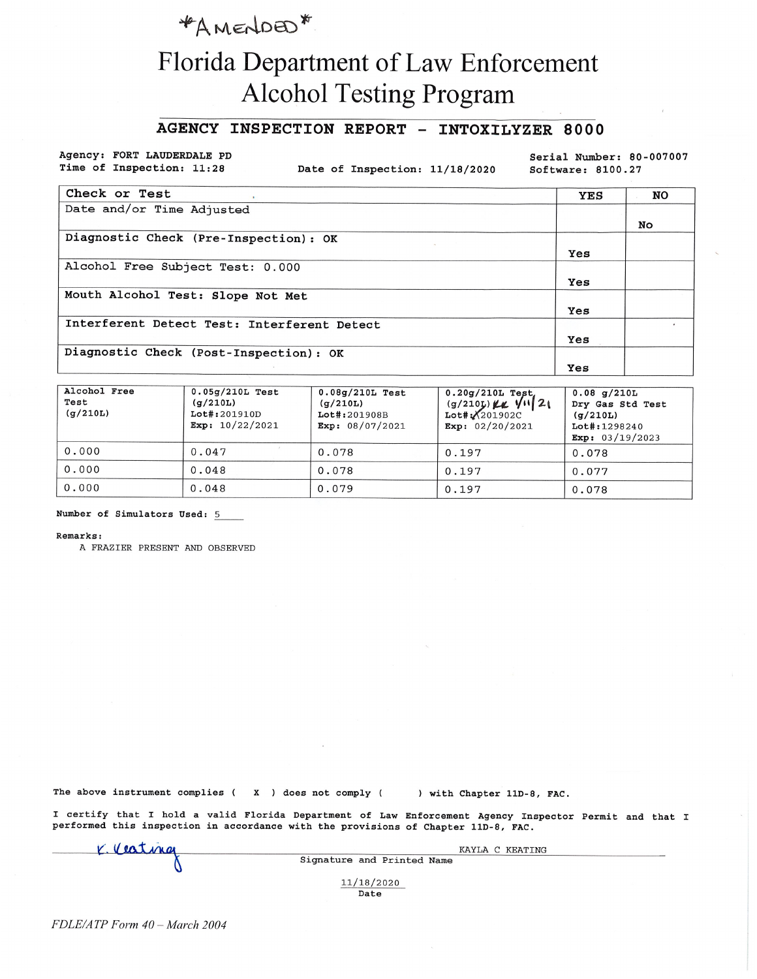### \*AMENDED\*

# Florida Department of Law Enforcement **Alcohol Testing Program**

#### AGENCY INSPECTION REPORT - INTOXILYZER 8000

Agency: FORT LAUDERDALE PD Time of Inspection: 11:28

Date of Inspection: 11/18/2020

Serial Number: 80-007007 Software: 8100.27

| Check or Test                               | <b>YES</b> | NO |
|---------------------------------------------|------------|----|
| Date and/or Time Adjusted                   |            |    |
|                                             |            | No |
| Diagnostic Check (Pre-Inspection): OK       |            |    |
|                                             | Yes        |    |
| Alcohol Free Subject Test: 0.000            |            |    |
|                                             | Yes        |    |
| Mouth Alcohol Test: Slope Not Met           |            |    |
|                                             | Yes        |    |
| Interferent Detect Test: Interferent Detect |            |    |
|                                             | Yes        |    |
| Diagnostic Check (Post-Inspection): OK      |            |    |
|                                             | Yes        |    |

| Alcohol Free<br>Test<br>(q/210L) | $0.05q/210L$ Test<br>(g/210L)<br>Lot#:201910D<br>Exp: $10/22/2021$ | $0.08g/210L$ Test<br>(q/210L)<br>Lot#:201908B<br>Exp: $08/07/2021$ | $0.20g/210L$ Test,<br>$(g/210)$ KK $V  21$<br>$Lot$ #: $X201902C$<br>Exp: $02/20/2021$ | $0.08$ g/210L<br>Dry Gas Std Test<br>(g/210L)<br>$Lot$ #: 1298240<br>Exp: $03/19/2023$ |
|----------------------------------|--------------------------------------------------------------------|--------------------------------------------------------------------|----------------------------------------------------------------------------------------|----------------------------------------------------------------------------------------|
| 0.000                            | 0.047                                                              | 0.078                                                              | 0.197                                                                                  | 0.078                                                                                  |
| 0.000                            | 0.048                                                              | 0.078                                                              | 0.197                                                                                  | 0.077                                                                                  |
| 0.000                            | 0.048                                                              | 0.079                                                              | 0.197                                                                                  | 0.078                                                                                  |

Number of Simulators Used: 5

Remarks:

A FRAZIER PRESENT AND OBSERVED

The above instrument complies (X) does not comply (

) with Chapter 11D-8, FAC.

I certify that I hold a valid Florida Department of Law Enforcement Agency Inspector Permit and that I performed this inspection in accordance with the provisions of Chapter 11D-8, FAC.

| K. Vesting | KAYLA C KEATING            |  |
|------------|----------------------------|--|
|            | Signature and Printed Name |  |
|            | 11/18/2020<br>Date         |  |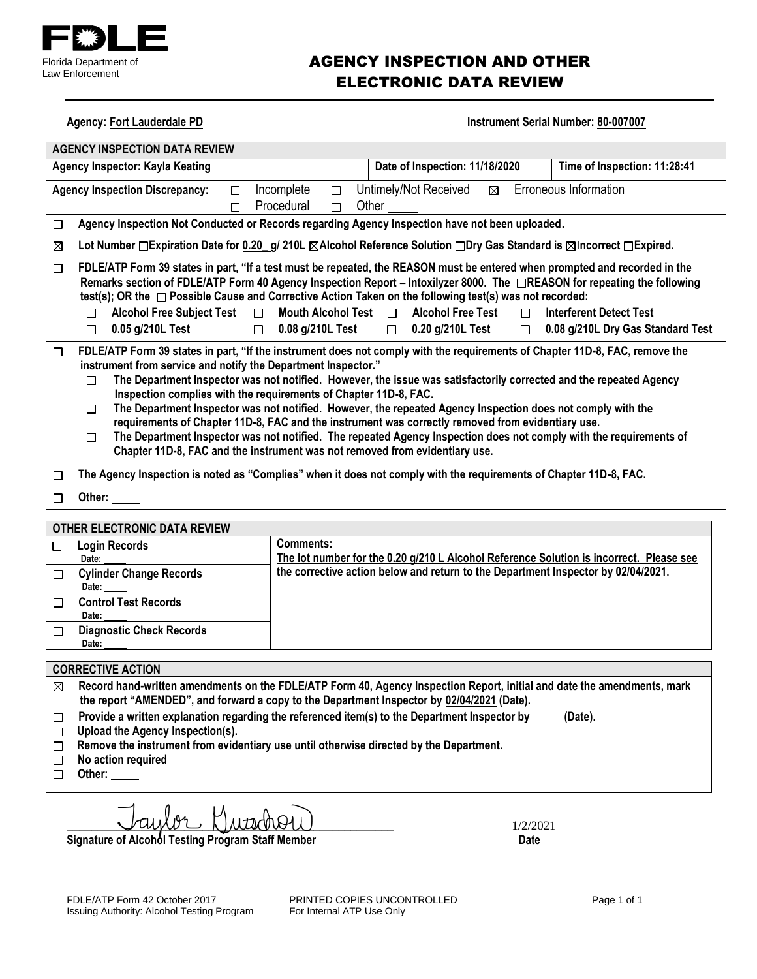

### AGENCY INSPECTION AND OTHER ELECTRONIC DATA REVIEW

**Agency: Fort Lauderdale PD** 

| Instrument Serial Number: 80-007007 |  |  |
|-------------------------------------|--|--|
|-------------------------------------|--|--|

|        | <b>AGENCY INSPECTION DATA REVIEW</b>                                                                                                                                                                                                                                                                                                                                                                                                                                                                                                                                                                                                                                                                                                                                                                                           |
|--------|--------------------------------------------------------------------------------------------------------------------------------------------------------------------------------------------------------------------------------------------------------------------------------------------------------------------------------------------------------------------------------------------------------------------------------------------------------------------------------------------------------------------------------------------------------------------------------------------------------------------------------------------------------------------------------------------------------------------------------------------------------------------------------------------------------------------------------|
|        | Time of Inspection: 11:28:41<br>Date of Inspection: 11/18/2020<br><b>Agency Inspector: Kayla Keating</b>                                                                                                                                                                                                                                                                                                                                                                                                                                                                                                                                                                                                                                                                                                                       |
|        | Erroneous Information<br>Untimely/Not Received<br>Incomplete<br><b>Agency Inspection Discrepancy:</b><br>⊠<br>$\Box$<br>П<br>Procedural<br>Other<br>П<br>П                                                                                                                                                                                                                                                                                                                                                                                                                                                                                                                                                                                                                                                                     |
| □      | Agency Inspection Not Conducted or Records regarding Agency Inspection have not been uploaded.                                                                                                                                                                                                                                                                                                                                                                                                                                                                                                                                                                                                                                                                                                                                 |
| ⊠      | Lot Number □ Expiration Date for 0.20 g/ 210L ⊠Alcohol Reference Solution □ Dry Gas Standard is ⊠Incorrect □ Expired.                                                                                                                                                                                                                                                                                                                                                                                                                                                                                                                                                                                                                                                                                                          |
| $\Box$ | FDLE/ATP Form 39 states in part, "If a test must be repeated, the REASON must be entered when prompted and recorded in the<br>Remarks section of FDLE/ATP Form 40 Agency Inspection Report – Intoxilyzer 8000. The □REASON for repeating the following<br>test(s); OR the $\Box$ Possible Cause and Corrective Action Taken on the following test(s) was not recorded:<br><b>Alcohol Free Subject Test</b><br>Mouth Alcohol Test $\Box$<br><b>Alcohol Free Test</b><br><b>Interferent Detect Test</b><br>$\Box$<br>П<br>П<br>0.05 g/210L Test<br>0.08 g/210L Test<br>$\Box$ 0.20 g/210L Test<br>0.08 g/210L Dry Gas Standard Test<br>$\Box$<br>$\Box$<br>$\Box$                                                                                                                                                                |
| □      | FDLE/ATP Form 39 states in part, "If the instrument does not comply with the requirements of Chapter 11D-8, FAC, remove the<br>instrument from service and notify the Department Inspector."<br>The Department Inspector was not notified. However, the issue was satisfactorily corrected and the repeated Agency<br>П<br>Inspection complies with the requirements of Chapter 11D-8, FAC.<br>The Department Inspector was not notified. However, the repeated Agency Inspection does not comply with the<br>П<br>requirements of Chapter 11D-8, FAC and the instrument was correctly removed from evidentiary use.<br>The Department Inspector was not notified. The repeated Agency Inspection does not comply with the requirements of<br>П<br>Chapter 11D-8, FAC and the instrument was not removed from evidentiary use. |
| □      | The Agency Inspection is noted as "Complies" when it does not comply with the requirements of Chapter 11D-8, FAC.                                                                                                                                                                                                                                                                                                                                                                                                                                                                                                                                                                                                                                                                                                              |
| □      | Other: $\_\_$                                                                                                                                                                                                                                                                                                                                                                                                                                                                                                                                                                                                                                                                                                                                                                                                                  |
|        | OTHER ELECTRONIC DATA REVIEW                                                                                                                                                                                                                                                                                                                                                                                                                                                                                                                                                                                                                                                                                                                                                                                                   |

| <u>UTILIN LLLUTINUMUU DATA INL VILIV</u> |                                                                                                      |  |  |  |
|------------------------------------------|------------------------------------------------------------------------------------------------------|--|--|--|
| <b>Login Records</b><br>Date:            | Comments:<br>The lot number for the 0.20 g/210 L Alcohol Reference Solution is incorrect. Please see |  |  |  |
| <b>Cylinder Change Records</b><br>Date:  | the corrective action below and return to the Department Inspector by 02/04/2021.                    |  |  |  |
| <b>Control Test Records</b><br>Date:     |                                                                                                      |  |  |  |
| <b>Diagnostic Check Records</b><br>Date: |                                                                                                      |  |  |  |

#### **CORRECTIVE ACTION**

- **Record hand-written amendments on the FDLE/ATP Form 40, Agency Inspection Report, initial and date the amendments, mark**   $\boxtimes$ **the report "AMENDED", and forward a copy to the Department Inspector by 02/04/2021 (Date).**
- Provide a written explanation regarding the referenced item(s) to the Department Inspector by \_\_\_\_\_ (Date).  $\Box$
- **Upload the Agency Inspection(s).**
- **Remove the instrument from evidentiary use until otherwise directed by the Department.**
- **No action required**  $\Box$
- **Other:**

 $L_{\text{M122021}}$ 

Signature of Alcohol Testing Program Staff Member **Date 19th Contact Contact Contact Contact Contact Contact Contact Contact Contact Contact Contact Contact Contact Contact Contact Contact Contact Contact Contact Contact C**